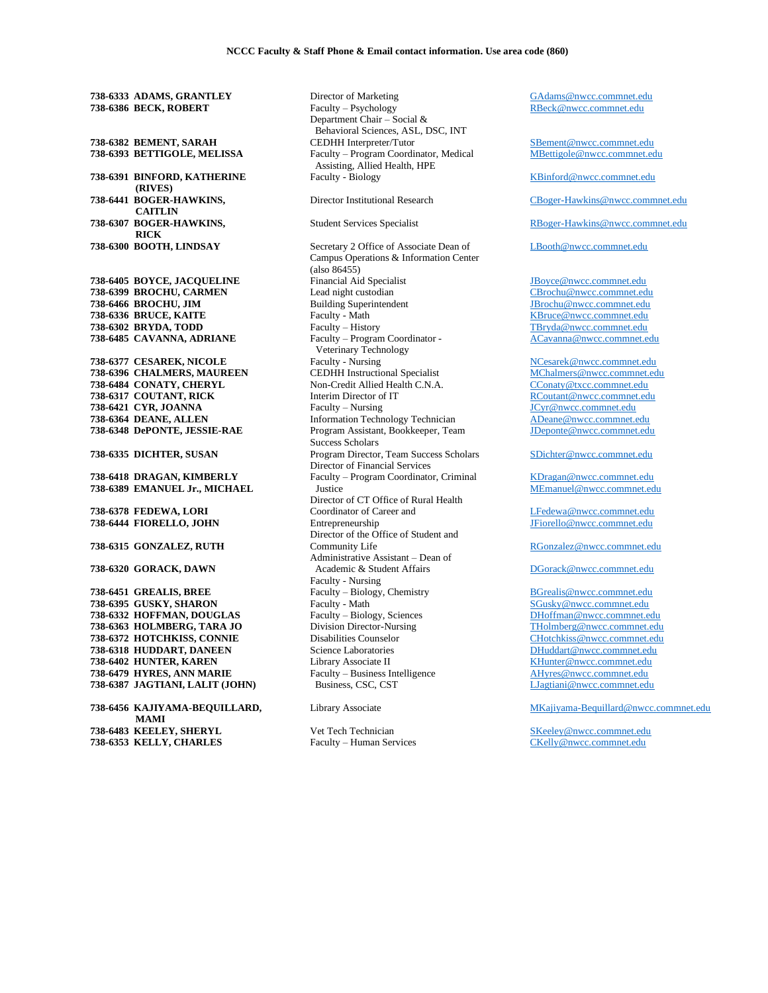**738-6333 ADAMS, GRANTLEY 738-6386 BECK, ROBERT 738-6382 BEMENT, SARAH 738-6393 BETTIGOLE, MELISSA 738-6391 BINFORD, KATHERINE (RIVES) 738-6441 BOGER-HAWKINS, CAITLIN 738-6307 BOGER-HAWKINS, RICK 738-6300 BOOTH, LINDSAY 738-6405 BOYCE, JACQUELINE 738-6399 BROCHU, CARMEN 738-6466 BROCHU, JIM 738-6336 BRUCE, KAITE 738-6302 BRYDA, TODD 738-6485 CAVANNA, ADRIANE 738-6377 CESAREK, NICOLE 738-6396 CHALMERS, MAUREEN 738-6484 CONATY, CHERYL 738-6317 COUTANT, RICK 738-6421 CYR, JOANNA 738-6364 DEANE, ALLEN 738-6348 DePONTE, JESSIE-RAE 738-6335 DICHTER, SUSAN 738-6418 DRAGAN, KIMBERLY 738-6389 EMANUEL Jr., MICHAEL 738-6378 FEDEWA, LORI 738-6444 FIORELLO, JOHN 738-6315 GONZALEZ, RUTH 738-6320 GORACK, DAWN 738-6451 GREALIS, BREE 738-6395 GUSKY, SHARON 738-6332 HOFFMAN, DOUGLAS 738-6363 HOLMBERG, TARA JO**

**738-6372 HOTCHKISS, CONNIE 738-6318 HUDDART, DANEEN 738-6402 HUNTER, KAREN 738-6479 HYRES, ANN MARIE 738-6387 JAGTIANI, LALIT (JOHN)**

**738-6456 KAJIYAMA-BEQUILLARD, MAMI 738-6483 KEELEY, SHERYL 738-6353 KELLY, CHARLES**

Director of Marketing Faculty – Psychology Department Chair – Social & Behavioral Sciences, ASL, DSC, INT CEDHH Interpreter/Tutor Faculty – Program Coordinator, Medical Assisting, Allied Health, HPE Faculty - Biology

Director Institutional Research

Student Services Specialist

Secretary 2 Office of Associate Dean of Campus Operations & Information Center  $(a)$ so  $(86455)$ Financial Aid Specialist Lead night custodian Building Superintendent Faculty - Math Faculty – History Faculty – Program Coordinator - Veterinary Technology Faculty - Nursing CEDHH Instructional Specialist Non-Credit Allied Health C.N.A. Interim Director of IT Faculty – Nursing Information Technology Technician Program Assistant, Bookkeeper, Team Success Scholars Program Director, Team Success Scholars Director of Financial Services Faculty – Program Coordinator, Criminal Justice Director of CT Office of Rural Health Coordinator of Career and Entrepreneurship Director of the Office of Student and Community Life Administrative Assistant – Dean of Academic & Student Affairs Faculty - Nursing Faculty – Biology, Chemistry Faculty - Math Faculty – Biology, Sciences Division Director-Nursing Disabilities Counselor Science Laboratories Library Associate II Faculty – Business Intelligence Business, CSC, CST

Library Associate

Vet Tech Technician Faculty – Human Services [GAdams@nwcc.commnet.edu](mailto:GAdams@nwcc.commnet.edu) [RBeck@nwcc.commnet.edu](mailto:RBeck@nwcc.commnet.edu)

[SBement@nwcc.commnet.edu](mailto:SBement@nwcc.commnet.edu) [MBettigole@nwcc.commnet.edu](mailto:MBettigole@nwcc.commnet.edu)

[KBinford@nwcc.commnet.edu](mailto:KBinford@nwcc.commnet.edu)

[CBoger-Hawkins@nwcc.commnet.edu](mailto:CBoger-Hawkins@nwcc.commnet.edu)

[RBoger-Hawkins@nwcc.commnet.edu](mailto:RBoger-Hawkins@nwcc.commnet.edu)

[LBooth@nwcc.commnet.edu](mailto:LBooth@nwcc.commnet.edu)

[JBoyce@nwcc.commnet.edu](mailto:JBoyce@nwcc.commnet.edu) [CBrochu@nwcc.commnet.edu](mailto:CBrochu@nwcc.commnet.edu) [JBrochu@nwcc.commnet.edu](mailto:JBrochu@nwcc.commnet.edu) [KBruce@nwcc.commnet.edu](mailto:KBruce@nwcc.commnet.edu) [TBryda@nwcc.commnet.edu](mailto:TBryda@nwcc.commnet.edu) [ACavanna@nwcc.commnet.edu](mailto:ACavanna@nwcc.commnet.edu)

[NCesarek@nwcc.commnet.edu](mailto:NCesarek@nwcc.commnet.edu) [MChalmers@nwcc.commnet.edu](mailto:MChalmers@nwcc.commnet.edu) [CConaty@txcc.commnet.edu](mailto:CConaty@txcc.commnet.edu) [RCoutant@nwcc.commnet.edu](mailto:RCoutant@nwcc.commnet.edu) [JCyr@nwcc.commnet.edu](mailto:JCyr@nwcc.commnet.edu) [ADeane@nwcc.commnet.edu](mailto:ADeane@nwcc.commnet.edu) [JDeponte@nwcc.commnet.edu](mailto:JDeponte@nwcc.commnet.edu)

[SDichter@nwcc.commnet.edu](mailto:SDichter@nwcc.commnet.edu)

[KDragan@nwcc.commnet.edu](mailto:KDragan@nwcc.commnet.edu) [MEmanuel@nwcc.commnet.edu](mailto:MEmanuel@nwcc.commnet.edu)

[LFedewa@nwcc.commnet.edu](mailto:LFedewa@nwcc.commnet.edu) [JFiorello@nwcc.commnet.edu](mailto:JFiorello@nwcc.commnet.edu)

[RGonzalez@nwcc.commnet.edu](mailto:RGonzalez@nwcc.commnet.edu)

[DGorack@nwcc.commnet.edu](mailto:DGorack@nwcc.commnet.edu)

[BGrealis@nwcc.commnet.edu](mailto:BGrealis@nwcc.commnet.edu) [SGusky@nwcc.commnet.edu](mailto:SGusky@nwcc.commnet.edu) [DHoffman@nwcc.commnet.edu](mailto:DHoffman@nwcc.commnet.edu) [THolmberg@nwcc.commnet.edu](mailto:THolmberg@nwcc.commnet.edu) [CHotchkiss@nwcc.commnet.edu](mailto:CHotchkiss@nwcc.commnet.edu) [DHuddart@nwcc.commnet.edu](mailto:DHuddart@nwcc.commnet.edu) [KHunter@nwcc.commnet.edu](mailto:KHunter@nwcc.commnet.edu) [AHyres@nwcc.commnet.edu](mailto:AHyres@nwcc.commnet.edu) [LJagtiani@nwcc.commnet.edu](mailto:LJagtiani@nwcc.commnet.edu)

[MKajiyama-Bequillard@nwcc.commnet.edu](mailto:MKajiyama-Bequillard@nwcc.commnet.edu)

[SKeeley@nwcc.commnet.edu](mailto:SKeeley@nwcc.commnet.edu) [CKelly@nwcc.commnet.edu](mailto:CKelly@nwcc.commnet.edu)